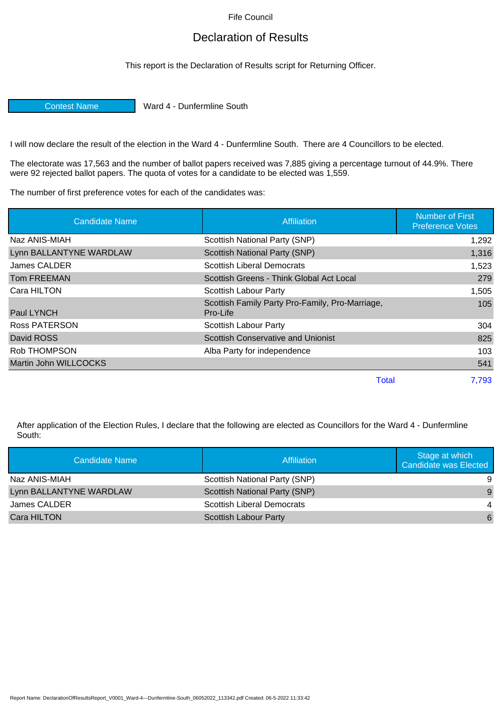Fife Council

## Declaration of Results

This report is the Declaration of Results script for Returning Officer.

Contest Name Ward 4 - Dunfermline South

I will now declare the result of the election in the Ward 4 - Dunfermline South. There are 4 Councillors to be elected.

The electorate was 17,563 and the number of ballot papers received was 7,885 giving a percentage turnout of 44.9%. There were 92 rejected ballot papers. The quota of votes for a candidate to be elected was 1,559.

The number of first preference votes for each of the candidates was:

| <b>Candidate Name</b>   | <b>Affiliation</b>                                          | <b>Number of First</b><br><b>Preference Votes</b> |
|-------------------------|-------------------------------------------------------------|---------------------------------------------------|
| Naz ANIS-MIAH           | Scottish National Party (SNP)                               | 1,292                                             |
| Lynn BALLANTYNE WARDLAW | Scottish National Party (SNP)                               | 1,316                                             |
| James CALDER            | <b>Scottish Liberal Democrats</b>                           | 1,523                                             |
| <b>Tom FREEMAN</b>      | Scottish Greens - Think Global Act Local                    | 279                                               |
| Cara HILTON             | Scottish Labour Party                                       | 1,505                                             |
| Paul LYNCH              | Scottish Family Party Pro-Family, Pro-Marriage,<br>Pro-Life | 105                                               |
| <b>Ross PATERSON</b>    | Scottish Labour Party                                       | 304                                               |
| David ROSS              | Scottish Conservative and Unionist                          | 825                                               |
| Rob THOMPSON            | Alba Party for independence                                 | 103                                               |
| Martin John WILLCOCKS   |                                                             | 541                                               |
|                         | <b>Total</b>                                                | 7,793                                             |

After application of the Election Rules, I declare that the following are elected as Councillors for the Ward 4 - Dunfermline South:

| Candidate Name          | <b>Affiliation</b>                | Stage at which<br><b>Candidate was Elected</b> |
|-------------------------|-----------------------------------|------------------------------------------------|
| Naz ANIS-MIAH           | Scottish National Party (SNP)     | -9                                             |
| Lynn BALLANTYNE WARDLAW | Scottish National Party (SNP)     | $\overline{9}$                                 |
| James CALDER            | <b>Scottish Liberal Democrats</b> | $\overline{4}$                                 |
| Cara HILTON             | <b>Scottish Labour Party</b>      | 6                                              |